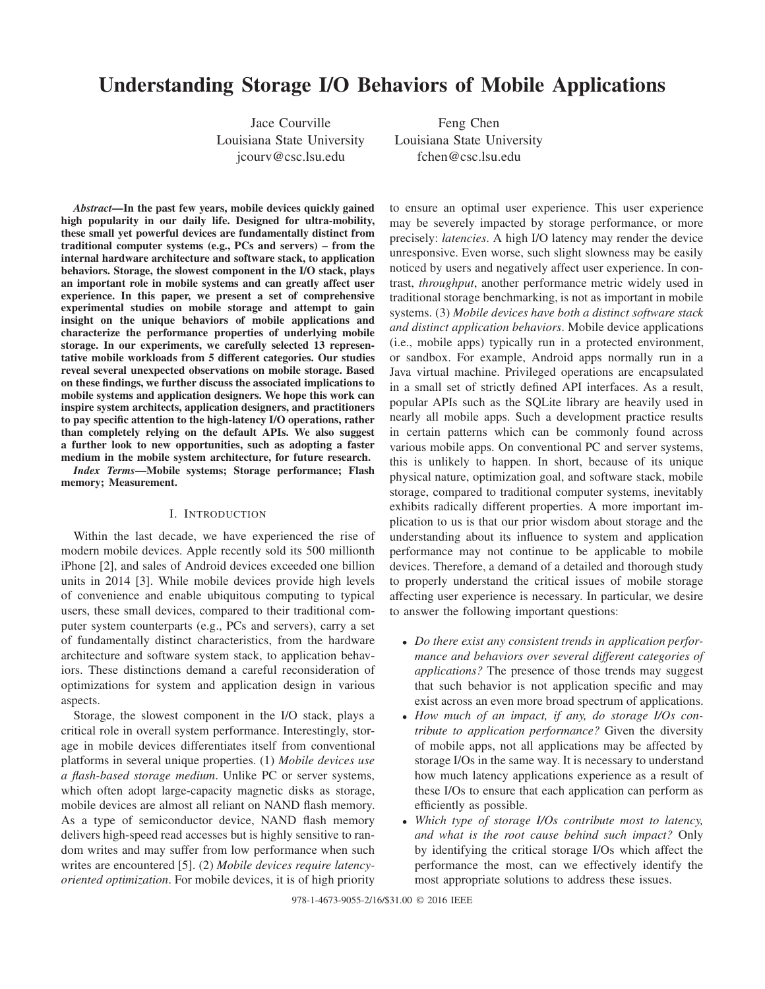# **Understanding Storage I/O Behaviors of Mobile Applications**

Jace Courville Feng Chen Louisiana State University Louisiana State University jcourv@csc.lsu.edu fchen@csc.lsu.edu

*Abstract***—In the past few years, mobile devices quickly gained high popularity in our daily life. Designed for ultra-mobility, these small yet powerful devices are fundamentally distinct from traditional computer systems (e.g., PCs and servers) – from the internal hardware architecture and software stack, to application behaviors. Storage, the slowest component in the I/O stack, plays an important role in mobile systems and can greatly affect user experience. In this paper, we present a set of comprehensive experimental studies on mobile storage and attempt to gain insight on the unique behaviors of mobile applications and characterize the performance properties of underlying mobile storage. In our experiments, we carefully selected 13 representative mobile workloads from 5 different categories. Our studies reveal several unexpected observations on mobile storage. Based on these findings, we further discuss the associated implications to mobile systems and application designers. We hope this work can inspire system architects, application designers, and practitioners to pay specific attention to the high-latency I/O operations, rather than completely relying on the default APIs. We also suggest a further look to new opportunities, such as adopting a faster medium in the mobile system architecture, for future research.**

*Index Terms***—Mobile systems; Storage performance; Flash memory; Measurement.**

# I. INTRODUCTION

Within the last decade, we have experienced the rise of modern mobile devices. Apple recently sold its 500 millionth iPhone [2], and sales of Android devices exceeded one billion units in 2014 [3]. While mobile devices provide high levels of convenience and enable ubiquitous computing to typical users, these small devices, compared to their traditional computer system counterparts (e.g., PCs and servers), carry a set of fundamentally distinct characteristics, from the hardware architecture and software system stack, to application behaviors. These distinctions demand a careful reconsideration of optimizations for system and application design in various aspects.

Storage, the slowest component in the I/O stack, plays a critical role in overall system performance. Interestingly, storage in mobile devices differentiates itself from conventional platforms in several unique properties. (1) *Mobile devices use a flash-based storage medium*. Unlike PC or server systems, which often adopt large-capacity magnetic disks as storage, mobile devices are almost all reliant on NAND flash memory. As a type of semiconductor device, NAND flash memory delivers high-speed read accesses but is highly sensitive to random writes and may suffer from low performance when such writes are encountered [5]. (2) *Mobile devices require latencyoriented optimization*. For mobile devices, it is of high priority to ensure an optimal user experience. This user experience may be severely impacted by storage performance, or more precisely: *latencies*. A high I/O latency may render the device unresponsive. Even worse, such slight slowness may be easily noticed by users and negatively affect user experience. In contrast, *throughput*, another performance metric widely used in traditional storage benchmarking, is not as important in mobile systems. (3) *Mobile devices have both a distinct software stack and distinct application behaviors*. Mobile device applications (i.e., mobile apps) typically run in a protected environment, or sandbox. For example, Android apps normally run in a Java virtual machine. Privileged operations are encapsulated in a small set of strictly defined API interfaces. As a result, popular APIs such as the SQLite library are heavily used in nearly all mobile apps. Such a development practice results in certain patterns which can be commonly found across various mobile apps. On conventional PC and server systems, this is unlikely to happen. In short, because of its unique physical nature, optimization goal, and software stack, mobile storage, compared to traditional computer systems, inevitably exhibits radically different properties. A more important implication to us is that our prior wisdom about storage and the understanding about its influence to system and application performance may not continue to be applicable to mobile devices. Therefore, a demand of a detailed and thorough study to properly understand the critical issues of mobile storage affecting user experience is necessary. In particular, we desire to answer the following important questions:

- *Do there exist any consistent trends in application performance and behaviors over several different categories of applications?* The presence of those trends may suggest that such behavior is not application specific and may exist across an even more broad spectrum of applications.
- *How much of an impact, if any, do storage I/Os contribute to application performance?* Given the diversity of mobile apps, not all applications may be affected by storage I/Os in the same way. It is necessary to understand how much latency applications experience as a result of these I/Os to ensure that each application can perform as efficiently as possible.
- *Which type of storage I/Os contribute most to latency, and what is the root cause behind such impact?* Only by identifying the critical storage I/Os which affect the performance the most, can we effectively identify the most appropriate solutions to address these issues.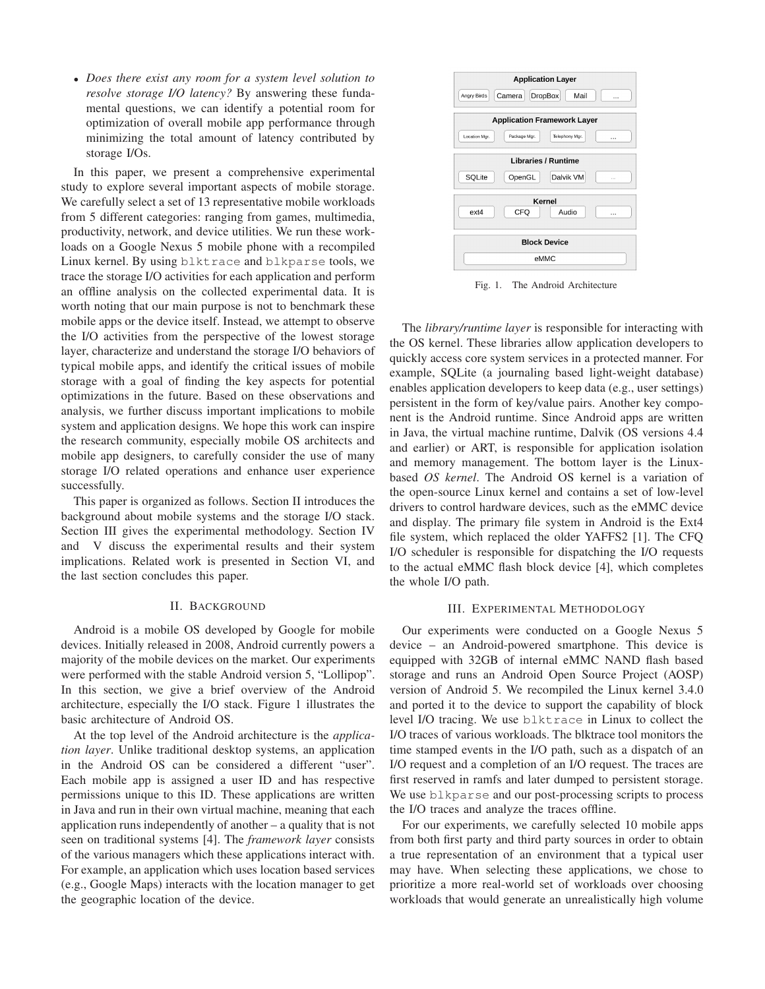• *Does there exist any room for a system level solution to resolve storage I/O latency?* By answering these fundamental questions, we can identify a potential room for optimization of overall mobile app performance through minimizing the total amount of latency contributed by storage I/Os.

In this paper, we present a comprehensive experimental study to explore several important aspects of mobile storage. We carefully select a set of 13 representative mobile workloads from 5 different categories: ranging from games, multimedia, productivity, network, and device utilities. We run these workloads on a Google Nexus 5 mobile phone with a recompiled Linux kernel. By using blktrace and blkparse tools, we trace the storage I/O activities for each application and perform an offline analysis on the collected experimental data. It is worth noting that our main purpose is not to benchmark these mobile apps or the device itself. Instead, we attempt to observe the I/O activities from the perspective of the lowest storage layer, characterize and understand the storage I/O behaviors of typical mobile apps, and identify the critical issues of mobile storage with a goal of finding the key aspects for potential optimizations in the future. Based on these observations and analysis, we further discuss important implications to mobile system and application designs. We hope this work can inspire the research community, especially mobile OS architects and mobile app designers, to carefully consider the use of many storage I/O related operations and enhance user experience successfully.

This paper is organized as follows. Section II introduces the background about mobile systems and the storage I/O stack. Section III gives the experimental methodology. Section IV and V discuss the experimental results and their system implications. Related work is presented in Section VI, and the last section concludes this paper.

## II. BACKGROUND

Android is a mobile OS developed by Google for mobile devices. Initially released in 2008, Android currently powers a majority of the mobile devices on the market. Our experiments were performed with the stable Android version 5, "Lollipop". In this section, we give a brief overview of the Android architecture, especially the I/O stack. Figure 1 illustrates the basic architecture of Android OS.

At the top level of the Android architecture is the *application layer*. Unlike traditional desktop systems, an application in the Android OS can be considered a different "user". Each mobile app is assigned a user ID and has respective permissions unique to this ID. These applications are written in Java and run in their own virtual machine, meaning that each application runs independently of another – a quality that is not seen on traditional systems [4]. The *framework layer* consists of the various managers which these applications interact with. For example, an application which uses location based services (e.g., Google Maps) interacts with the location manager to get the geographic location of the device.



Fig. 1. The Android Architecture

The *library/runtime layer* is responsible for interacting with the OS kernel. These libraries allow application developers to quickly access core system services in a protected manner. For example, SQLite (a journaling based light-weight database) enables application developers to keep data (e.g., user settings) persistent in the form of key/value pairs. Another key component is the Android runtime. Since Android apps are written in Java, the virtual machine runtime, Dalvik (OS versions 4.4 and earlier) or ART, is responsible for application isolation and memory management. The bottom layer is the Linuxbased *OS kernel*. The Android OS kernel is a variation of the open-source Linux kernel and contains a set of low-level drivers to control hardware devices, such as the eMMC device and display. The primary file system in Android is the Ext4 file system, which replaced the older YAFFS2 [1]. The CFQ I/O scheduler is responsible for dispatching the I/O requests to the actual eMMC flash block device [4], which completes the whole I/O path.

#### III. EXPERIMENTAL METHODOLOGY

Our experiments were conducted on a Google Nexus 5 device – an Android-powered smartphone. This device is equipped with 32GB of internal eMMC NAND flash based storage and runs an Android Open Source Project (AOSP) version of Android 5. We recompiled the Linux kernel 3.4.0 and ported it to the device to support the capability of block level I/O tracing. We use blktrace in Linux to collect the I/O traces of various workloads. The blktrace tool monitors the time stamped events in the I/O path, such as a dispatch of an I/O request and a completion of an I/O request. The traces are first reserved in ramfs and later dumped to persistent storage. We use blkparse and our post-processing scripts to process the I/O traces and analyze the traces offline.

For our experiments, we carefully selected 10 mobile apps from both first party and third party sources in order to obtain a true representation of an environment that a typical user may have. When selecting these applications, we chose to prioritize a more real-world set of workloads over choosing workloads that would generate an unrealistically high volume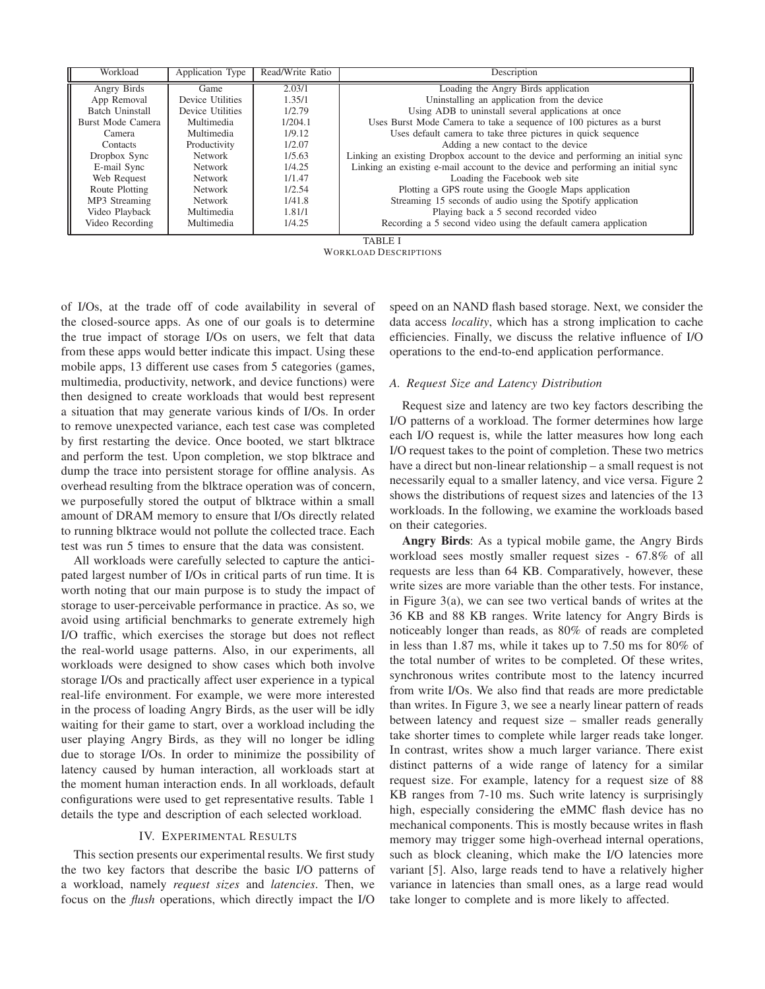| Workload          | Application Type | Read/Write Ratio | Description                                                                      |  |  |  |
|-------------------|------------------|------------------|----------------------------------------------------------------------------------|--|--|--|
| Angry Birds       | Game             | 2.03/1           | Loading the Angry Birds application                                              |  |  |  |
| App Removal       | Device Utilities | 1.35/1           | Uninstalling an application from the device                                      |  |  |  |
| Batch Uninstall   | Device Utilities | 1/2.79           | Using ADB to uninstall several applications at once                              |  |  |  |
| Burst Mode Camera | Multimedia       | 1/204.1          | Uses Burst Mode Camera to take a sequence of 100 pictures as a burst             |  |  |  |
| Camera            | Multimedia       | 1/9.12           | Uses default camera to take three pictures in quick sequence                     |  |  |  |
| Contacts          | Productivity     | 1/2.07           | Adding a new contact to the device                                               |  |  |  |
| Dropbox Sync      | <b>Network</b>   | 1/5.63           | Linking an existing Dropbox account to the device and performing an initial sync |  |  |  |
| E-mail Sync       | <b>Network</b>   | 1/4.25           | Linking an existing e-mail account to the device and performing an initial sync  |  |  |  |
| Web Request       | <b>Network</b>   | 1/1.47           | Loading the Facebook web site                                                    |  |  |  |
| Route Plotting    | <b>Network</b>   | 1/2.54           | Plotting a GPS route using the Google Maps application                           |  |  |  |
| MP3 Streaming     | <b>Network</b>   | 1/41.8           | Streaming 15 seconds of audio using the Spotify application                      |  |  |  |
| Video Playback    | Multimedia       | 1.81/1           | Playing back a 5 second recorded video                                           |  |  |  |
| Video Recording   | Multimedia       | 1/4.25           | Recording a 5 second video using the default camera application                  |  |  |  |
| <b>TABLE I</b>    |                  |                  |                                                                                  |  |  |  |

WORKLOAD DESCRIPTIONS

of I/Os, at the trade off of code availability in several of the closed-source apps. As one of our goals is to determine the true impact of storage I/Os on users, we felt that data from these apps would better indicate this impact. Using these mobile apps, 13 different use cases from 5 categories (games, multimedia, productivity, network, and device functions) were then designed to create workloads that would best represent a situation that may generate various kinds of I/Os. In order to remove unexpected variance, each test case was completed by first restarting the device. Once booted, we start blktrace and perform the test. Upon completion, we stop blktrace and dump the trace into persistent storage for offline analysis. As overhead resulting from the blktrace operation was of concern, we purposefully stored the output of blktrace within a small amount of DRAM memory to ensure that I/Os directly related to running blktrace would not pollute the collected trace. Each test was run 5 times to ensure that the data was consistent.

All workloads were carefully selected to capture the anticipated largest number of I/Os in critical parts of run time. It is worth noting that our main purpose is to study the impact of storage to user-perceivable performance in practice. As so, we avoid using artificial benchmarks to generate extremely high I/O traffic, which exercises the storage but does not reflect the real-world usage patterns. Also, in our experiments, all workloads were designed to show cases which both involve storage I/Os and practically affect user experience in a typical real-life environment. For example, we were more interested in the process of loading Angry Birds, as the user will be idly waiting for their game to start, over a workload including the user playing Angry Birds, as they will no longer be idling due to storage I/Os. In order to minimize the possibility of latency caused by human interaction, all workloads start at the moment human interaction ends. In all workloads, default configurations were used to get representative results. Table 1 details the type and description of each selected workload.

## IV. EXPERIMENTAL RESULTS

This section presents our experimental results. We first study the two key factors that describe the basic I/O patterns of a workload, namely *request sizes* and *latencies*. Then, we focus on the *flush* operations, which directly impact the I/O

speed on an NAND flash based storage. Next, we consider the data access *locality*, which has a strong implication to cache efficiencies. Finally, we discuss the relative influence of I/O operations to the end-to-end application performance.

## *A. Request Size and Latency Distribution*

Request size and latency are two key factors describing the I/O patterns of a workload. The former determines how large each I/O request is, while the latter measures how long each I/O request takes to the point of completion. These two metrics have a direct but non-linear relationship – a small request is not necessarily equal to a smaller latency, and vice versa. Figure 2 shows the distributions of request sizes and latencies of the 13 workloads. In the following, we examine the workloads based on their categories.

**Angry Birds**: As a typical mobile game, the Angry Birds workload sees mostly smaller request sizes - 67.8% of all requests are less than 64 KB. Comparatively, however, these write sizes are more variable than the other tests. For instance, in Figure 3(a), we can see two vertical bands of writes at the 36 KB and 88 KB ranges. Write latency for Angry Birds is noticeably longer than reads, as 80% of reads are completed in less than 1.87 ms, while it takes up to 7.50 ms for 80% of the total number of writes to be completed. Of these writes, synchronous writes contribute most to the latency incurred from write I/Os. We also find that reads are more predictable than writes. In Figure 3, we see a nearly linear pattern of reads between latency and request size – smaller reads generally take shorter times to complete while larger reads take longer. In contrast, writes show a much larger variance. There exist distinct patterns of a wide range of latency for a similar request size. For example, latency for a request size of 88 KB ranges from 7-10 ms. Such write latency is surprisingly high, especially considering the eMMC flash device has no mechanical components. This is mostly because writes in flash memory may trigger some high-overhead internal operations, such as block cleaning, which make the I/O latencies more variant [5]. Also, large reads tend to have a relatively higher variance in latencies than small ones, as a large read would take longer to complete and is more likely to affected.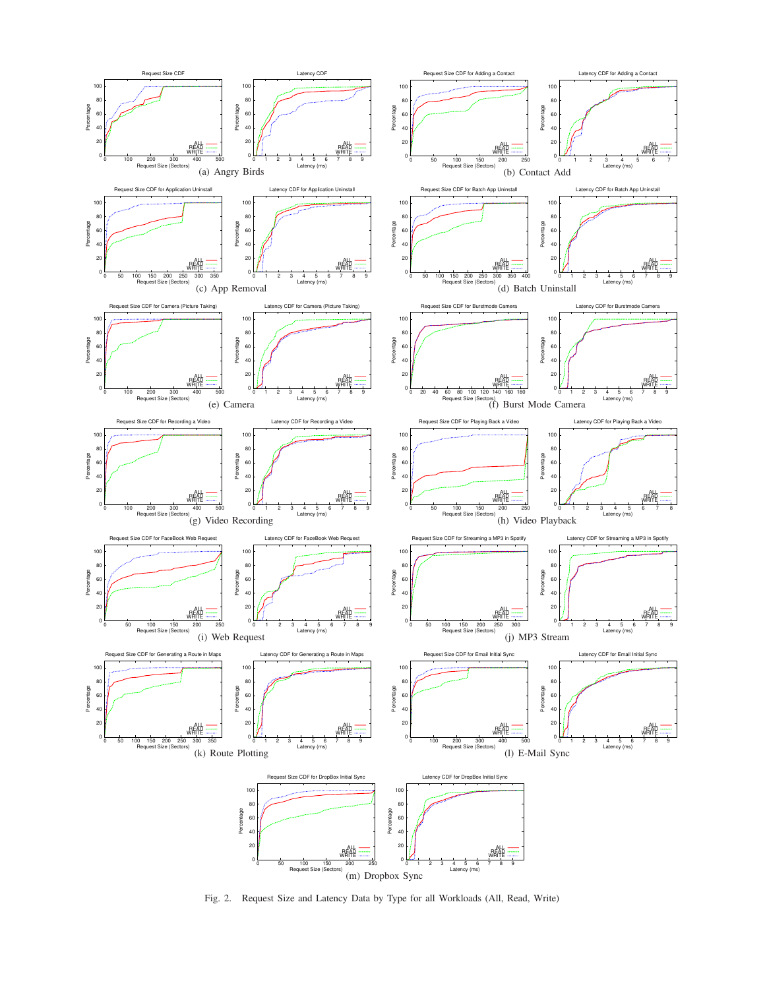

Fig. 2. Request Size and Latency Data by Type for all Workloads (All, Read, Write)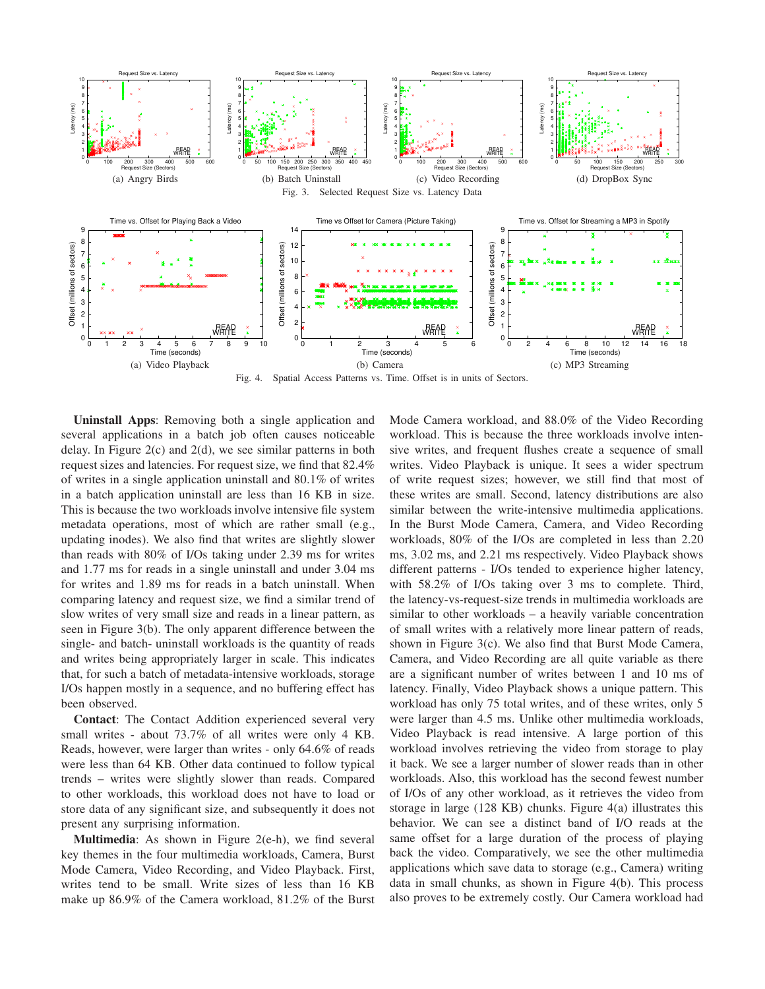

Fig. 4. Spatial Access Patterns vs. Time. Offset is in units of Sectors.

**Uninstall Apps**: Removing both a single application and several applications in a batch job often causes noticeable delay. In Figure 2(c) and 2(d), we see similar patterns in both request sizes and latencies. For request size, we find that 82.4% of writes in a single application uninstall and 80.1% of writes in a batch application uninstall are less than 16 KB in size. This is because the two workloads involve intensive file system metadata operations, most of which are rather small (e.g., updating inodes). We also find that writes are slightly slower than reads with 80% of I/Os taking under 2.39 ms for writes and 1.77 ms for reads in a single uninstall and under 3.04 ms for writes and 1.89 ms for reads in a batch uninstall. When comparing latency and request size, we find a similar trend of slow writes of very small size and reads in a linear pattern, as seen in Figure 3(b). The only apparent difference between the single- and batch- uninstall workloads is the quantity of reads and writes being appropriately larger in scale. This indicates that, for such a batch of metadata-intensive workloads, storage I/Os happen mostly in a sequence, and no buffering effect has been observed.

**Contact**: The Contact Addition experienced several very small writes - about 73.7% of all writes were only 4 KB. Reads, however, were larger than writes - only 64.6% of reads were less than 64 KB. Other data continued to follow typical trends – writes were slightly slower than reads. Compared to other workloads, this workload does not have to load or store data of any significant size, and subsequently it does not present any surprising information.

**Multimedia**: As shown in Figure 2(e-h), we find several key themes in the four multimedia workloads, Camera, Burst Mode Camera, Video Recording, and Video Playback. First, writes tend to be small. Write sizes of less than 16 KB make up 86.9% of the Camera workload, 81.2% of the Burst Mode Camera workload, and 88.0% of the Video Recording workload. This is because the three workloads involve intensive writes, and frequent flushes create a sequence of small writes. Video Playback is unique. It sees a wider spectrum of write request sizes; however, we still find that most of these writes are small. Second, latency distributions are also similar between the write-intensive multimedia applications. In the Burst Mode Camera, Camera, and Video Recording workloads, 80% of the I/Os are completed in less than 2.20 ms, 3.02 ms, and 2.21 ms respectively. Video Playback shows different patterns - I/Os tended to experience higher latency, with 58.2% of I/Os taking over 3 ms to complete. Third, the latency-vs-request-size trends in multimedia workloads are similar to other workloads – a heavily variable concentration of small writes with a relatively more linear pattern of reads, shown in Figure 3(c). We also find that Burst Mode Camera, Camera, and Video Recording are all quite variable as there are a significant number of writes between 1 and 10 ms of latency. Finally, Video Playback shows a unique pattern. This workload has only 75 total writes, and of these writes, only 5 were larger than 4.5 ms. Unlike other multimedia workloads, Video Playback is read intensive. A large portion of this workload involves retrieving the video from storage to play it back. We see a larger number of slower reads than in other workloads. Also, this workload has the second fewest number of I/Os of any other workload, as it retrieves the video from storage in large (128 KB) chunks. Figure 4(a) illustrates this behavior. We can see a distinct band of I/O reads at the same offset for a large duration of the process of playing back the video. Comparatively, we see the other multimedia applications which save data to storage (e.g., Camera) writing data in small chunks, as shown in Figure 4(b). This process also proves to be extremely costly. Our Camera workload had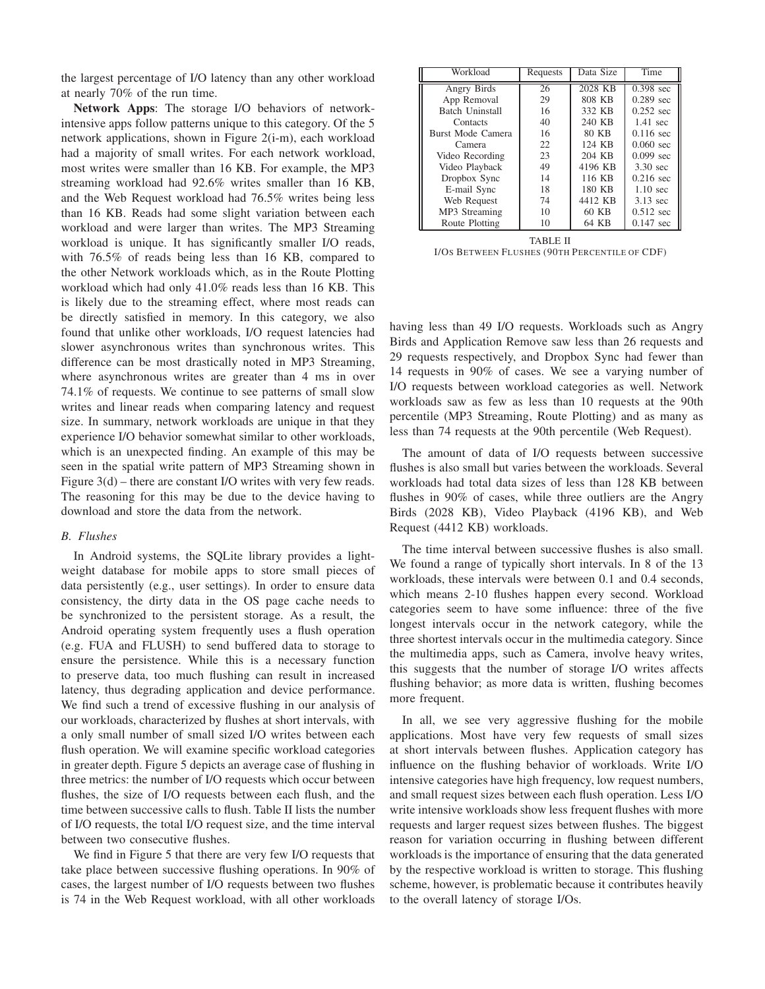the largest percentage of I/O latency than any other workload at nearly 70% of the run time.

**Network Apps**: The storage I/O behaviors of networkintensive apps follow patterns unique to this category. Of the 5 network applications, shown in Figure 2(i-m), each workload had a majority of small writes. For each network workload, most writes were smaller than 16 KB. For example, the MP3 streaming workload had 92.6% writes smaller than 16 KB, and the Web Request workload had 76.5% writes being less than 16 KB. Reads had some slight variation between each workload and were larger than writes. The MP3 Streaming workload is unique. It has significantly smaller I/O reads, with 76.5% of reads being less than 16 KB, compared to the other Network workloads which, as in the Route Plotting workload which had only 41.0% reads less than 16 KB. This is likely due to the streaming effect, where most reads can be directly satisfied in memory. In this category, we also found that unlike other workloads, I/O request latencies had slower asynchronous writes than synchronous writes. This difference can be most drastically noted in MP3 Streaming, where asynchronous writes are greater than 4 ms in over 74.1% of requests. We continue to see patterns of small slow writes and linear reads when comparing latency and request size. In summary, network workloads are unique in that they experience I/O behavior somewhat similar to other workloads, which is an unexpected finding. An example of this may be seen in the spatial write pattern of MP3 Streaming shown in Figure 3(d) – there are constant I/O writes with very few reads. The reasoning for this may be due to the device having to download and store the data from the network.

# *B. Flushes*

In Android systems, the SQLite library provides a lightweight database for mobile apps to store small pieces of data persistently (e.g., user settings). In order to ensure data consistency, the dirty data in the OS page cache needs to be synchronized to the persistent storage. As a result, the Android operating system frequently uses a flush operation (e.g. FUA and FLUSH) to send buffered data to storage to ensure the persistence. While this is a necessary function to preserve data, too much flushing can result in increased latency, thus degrading application and device performance. We find such a trend of excessive flushing in our analysis of our workloads, characterized by flushes at short intervals, with a only small number of small sized I/O writes between each flush operation. We will examine specific workload categories in greater depth. Figure 5 depicts an average case of flushing in three metrics: the number of I/O requests which occur between flushes, the size of I/O requests between each flush, and the time between successive calls to flush. Table II lists the number of I/O requests, the total I/O request size, and the time interval between two consecutive flushes.

We find in Figure 5 that there are very few I/O requests that take place between successive flushing operations. In 90% of cases, the largest number of I/O requests between two flushes is 74 in the Web Request workload, with all other workloads

| Workload               | Requests | Data Size | Time                |
|------------------------|----------|-----------|---------------------|
| Angry Birds            | 26       | 2028 KB   | $0.398$ sec         |
| App Removal            | 29       | 808 KB    | $0.289$ sec         |
| <b>Batch Uninstall</b> | 16       | 332 KB    | $0.252$ sec         |
| Contacts               | 40       | 240 KB    | $1.41 \text{ sec}$  |
| Burst Mode Camera      | 16       | 80 KB     | $0.116 \text{ sec}$ |
| Camera                 | 22       | 124 KB    | $0.060 \text{ sec}$ |
| Video Recording        | 23       | 204 KB    | $0.099$ sec         |
| Video Playback         | 49       | 4196 KB   | $3.30 \text{ sec}$  |
| Dropbox Sync           | 14       | 116 KB    | $0.216$ sec         |
| E-mail Sync            | 18       | 180 KB    | $1.10 \text{ sec}$  |
| Web Request            | 74       | 4412 KB   | $3.13 \text{ sec}$  |
| MP3 Streaming          | 10       | 60 KB     | $0.512 \text{ sec}$ |
| Route Plotting         | 10       | 64 KB     | $0.147 \text{ sec}$ |

TABLE II

I/OS BETWEEN FLUSHES (90TH PERCENTILE OF CDF)

having less than 49 I/O requests. Workloads such as Angry Birds and Application Remove saw less than 26 requests and 29 requests respectively, and Dropbox Sync had fewer than 14 requests in 90% of cases. We see a varying number of I/O requests between workload categories as well. Network workloads saw as few as less than 10 requests at the 90th percentile (MP3 Streaming, Route Plotting) and as many as less than 74 requests at the 90th percentile (Web Request).

The amount of data of I/O requests between successive flushes is also small but varies between the workloads. Several workloads had total data sizes of less than 128 KB between flushes in 90% of cases, while three outliers are the Angry Birds (2028 KB), Video Playback (4196 KB), and Web Request (4412 KB) workloads.

The time interval between successive flushes is also small. We found a range of typically short intervals. In 8 of the 13 workloads, these intervals were between 0.1 and 0.4 seconds, which means 2-10 flushes happen every second. Workload categories seem to have some influence: three of the five longest intervals occur in the network category, while the three shortest intervals occur in the multimedia category. Since the multimedia apps, such as Camera, involve heavy writes, this suggests that the number of storage I/O writes affects flushing behavior; as more data is written, flushing becomes more frequent.

In all, we see very aggressive flushing for the mobile applications. Most have very few requests of small sizes at short intervals between flushes. Application category has influence on the flushing behavior of workloads. Write I/O intensive categories have high frequency, low request numbers, and small request sizes between each flush operation. Less I/O write intensive workloads show less frequent flushes with more requests and larger request sizes between flushes. The biggest reason for variation occurring in flushing between different workloads is the importance of ensuring that the data generated by the respective workload is written to storage. This flushing scheme, however, is problematic because it contributes heavily to the overall latency of storage I/Os.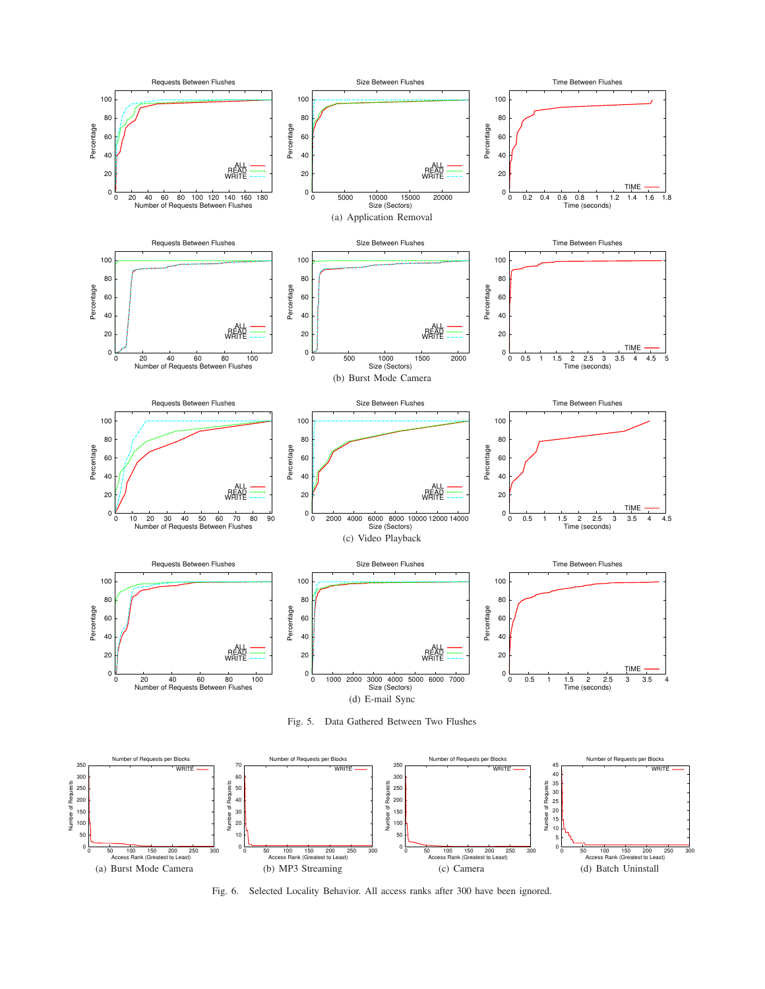

Fig. 5. Data Gathered Between Two Flushes



Fig. 6. Selected Locality Behavior. All access ranks after 300 have been ignored.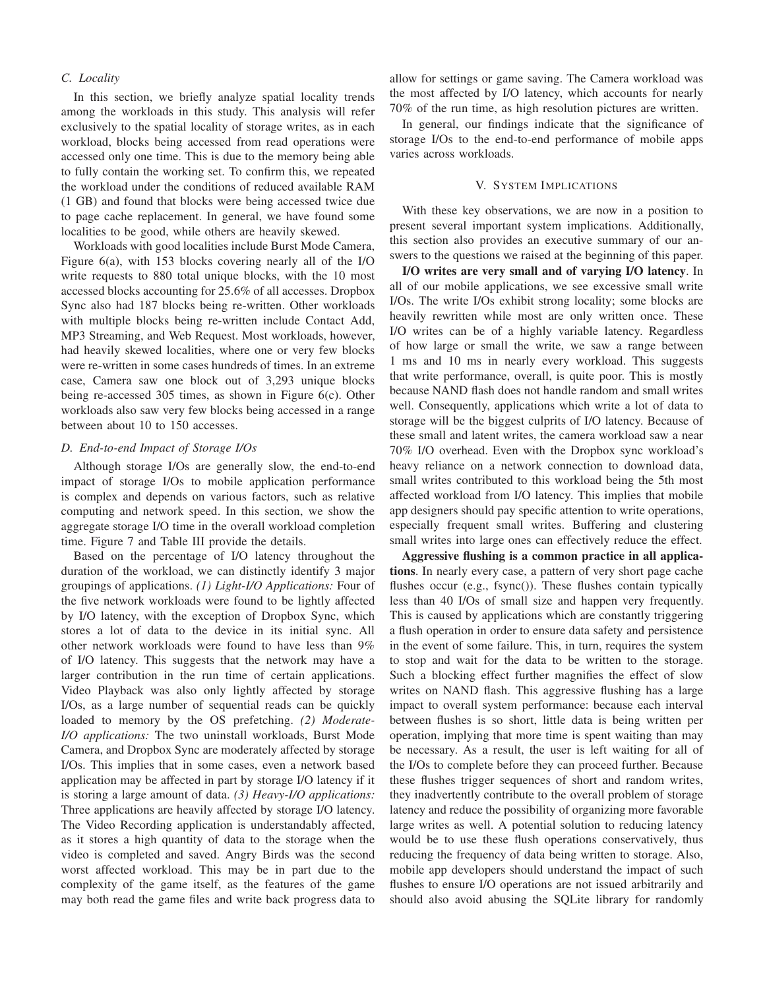## *C. Locality*

In this section, we briefly analyze spatial locality trends among the workloads in this study. This analysis will refer exclusively to the spatial locality of storage writes, as in each workload, blocks being accessed from read operations were accessed only one time. This is due to the memory being able to fully contain the working set. To confirm this, we repeated the workload under the conditions of reduced available RAM (1 GB) and found that blocks were being accessed twice due to page cache replacement. In general, we have found some localities to be good, while others are heavily skewed.

Workloads with good localities include Burst Mode Camera, Figure 6(a), with 153 blocks covering nearly all of the I/O write requests to 880 total unique blocks, with the 10 most accessed blocks accounting for 25.6% of all accesses. Dropbox Sync also had 187 blocks being re-written. Other workloads with multiple blocks being re-written include Contact Add, MP3 Streaming, and Web Request. Most workloads, however, had heavily skewed localities, where one or very few blocks were re-written in some cases hundreds of times. In an extreme case, Camera saw one block out of 3,293 unique blocks being re-accessed 305 times, as shown in Figure 6(c). Other workloads also saw very few blocks being accessed in a range between about 10 to 150 accesses.

# *D. End-to-end Impact of Storage I/Os*

Although storage I/Os are generally slow, the end-to-end impact of storage I/Os to mobile application performance is complex and depends on various factors, such as relative computing and network speed. In this section, we show the aggregate storage I/O time in the overall workload completion time. Figure 7 and Table III provide the details.

Based on the percentage of I/O latency throughout the duration of the workload, we can distinctly identify 3 major groupings of applications. *(1) Light-I/O Applications:* Four of the five network workloads were found to be lightly affected by I/O latency, with the exception of Dropbox Sync, which stores a lot of data to the device in its initial sync. All other network workloads were found to have less than 9% of I/O latency. This suggests that the network may have a larger contribution in the run time of certain applications. Video Playback was also only lightly affected by storage I/Os, as a large number of sequential reads can be quickly loaded to memory by the OS prefetching. *(2) Moderate-I/O applications:* The two uninstall workloads, Burst Mode Camera, and Dropbox Sync are moderately affected by storage I/Os. This implies that in some cases, even a network based application may be affected in part by storage I/O latency if it is storing a large amount of data. *(3) Heavy-I/O applications:* Three applications are heavily affected by storage I/O latency. The Video Recording application is understandably affected, as it stores a high quantity of data to the storage when the video is completed and saved. Angry Birds was the second worst affected workload. This may be in part due to the complexity of the game itself, as the features of the game may both read the game files and write back progress data to allow for settings or game saving. The Camera workload was the most affected by I/O latency, which accounts for nearly 70% of the run time, as high resolution pictures are written.

In general, our findings indicate that the significance of storage I/Os to the end-to-end performance of mobile apps varies across workloads.

# V. SYSTEM IMPLICATIONS

With these key observations, we are now in a position to present several important system implications. Additionally, this section also provides an executive summary of our answers to the questions we raised at the beginning of this paper.

**I/O writes are very small and of varying I/O latency**. In all of our mobile applications, we see excessive small write I/Os. The write I/Os exhibit strong locality; some blocks are heavily rewritten while most are only written once. These I/O writes can be of a highly variable latency. Regardless of how large or small the write, we saw a range between 1 ms and 10 ms in nearly every workload. This suggests that write performance, overall, is quite poor. This is mostly because NAND flash does not handle random and small writes well. Consequently, applications which write a lot of data to storage will be the biggest culprits of I/O latency. Because of these small and latent writes, the camera workload saw a near 70% I/O overhead. Even with the Dropbox sync workload's heavy reliance on a network connection to download data, small writes contributed to this workload being the 5th most affected workload from I/O latency. This implies that mobile app designers should pay specific attention to write operations, especially frequent small writes. Buffering and clustering small writes into large ones can effectively reduce the effect.

**Aggressive flushing is a common practice in all applications**. In nearly every case, a pattern of very short page cache flushes occur (e.g., fsync()). These flushes contain typically less than 40 I/Os of small size and happen very frequently. This is caused by applications which are constantly triggering a flush operation in order to ensure data safety and persistence in the event of some failure. This, in turn, requires the system to stop and wait for the data to be written to the storage. Such a blocking effect further magnifies the effect of slow writes on NAND flash. This aggressive flushing has a large impact to overall system performance: because each interval between flushes is so short, little data is being written per operation, implying that more time is spent waiting than may be necessary. As a result, the user is left waiting for all of the I/Os to complete before they can proceed further. Because these flushes trigger sequences of short and random writes, they inadvertently contribute to the overall problem of storage latency and reduce the possibility of organizing more favorable large writes as well. A potential solution to reducing latency would be to use these flush operations conservatively, thus reducing the frequency of data being written to storage. Also, mobile app developers should understand the impact of such flushes to ensure I/O operations are not issued arbitrarily and should also avoid abusing the SQLite library for randomly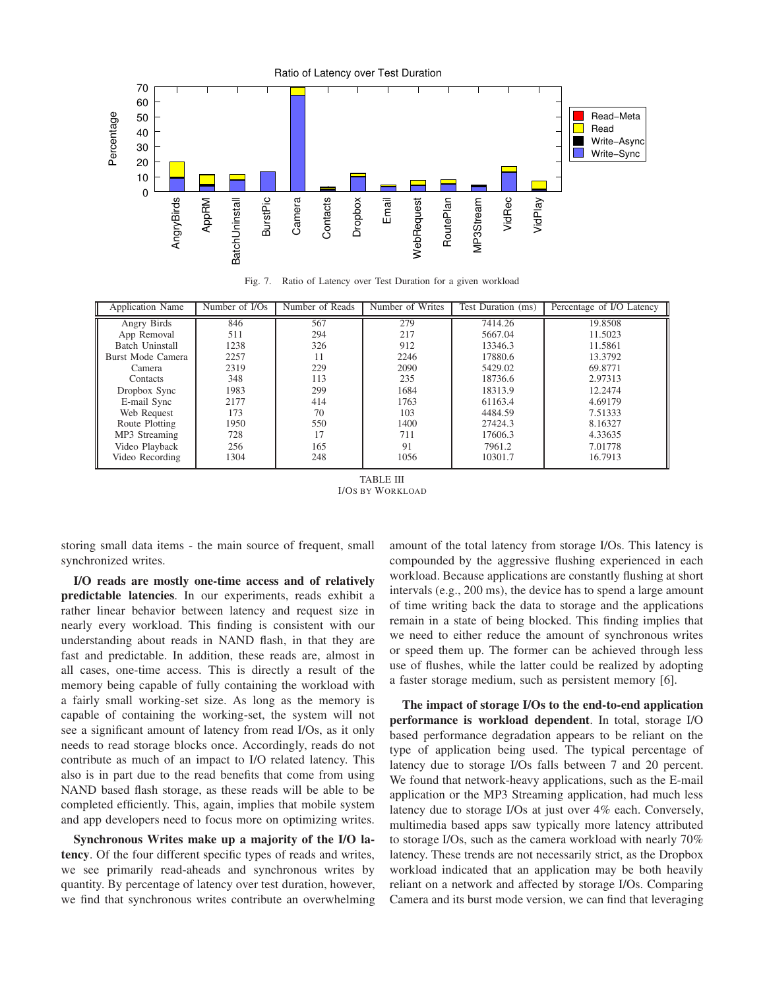

Fig. 7. Ratio of Latency over Test Duration for a given workload

| Application Name  | Number of I/Os | Number of Reads | Number of Writes | Test Duration (ms) | Percentage of I/O Latency |
|-------------------|----------------|-----------------|------------------|--------------------|---------------------------|
| Angry Birds       | 846            | 567             | 279              | 7414.26            | 19.8508                   |
| App Removal       | 511            | 294             | 217              | 5667.04            | 11.5023                   |
| Batch Uninstall   | 1238           | 326             | 912              | 13346.3            | 11.5861                   |
| Burst Mode Camera | 2257           | 11              | 2246             | 17880.6            | 13.3792                   |
| Camera            | 2319           | 229             | 2090             | 5429.02            | 69.8771                   |
| Contacts          | 348            | 113             | 235              | 18736.6            | 2.97313                   |
| Dropbox Sync      | 1983           | 299             | 1684             | 18313.9            | 12.2474                   |
| E-mail Sync       | 2177           | 414             | 1763             | 61163.4            | 4.69179                   |
| Web Request       | 173            | 70              | 103              | 4484.59            | 7.51333                   |
| Route Plotting    | 1950           | 550             | 1400             | 27424.3            | 8.16327                   |
| MP3 Streaming     | 728            | 17              | 711              | 17606.3            | 4.33635                   |
| Video Playback    | 256            | 165             | 91               | 7961.2             | 7.01778                   |
| Video Recording   | 1304           | 248             | 1056             | 10301.7            | 16.7913                   |

TABLE III I/OS BY WORKLOAD

storing small data items - the main source of frequent, small synchronized writes.

**I/O reads are mostly one-time access and of relatively predictable latencies**. In our experiments, reads exhibit a rather linear behavior between latency and request size in nearly every workload. This finding is consistent with our understanding about reads in NAND flash, in that they are fast and predictable. In addition, these reads are, almost in all cases, one-time access. This is directly a result of the memory being capable of fully containing the workload with a fairly small working-set size. As long as the memory is capable of containing the working-set, the system will not see a significant amount of latency from read I/Os, as it only needs to read storage blocks once. Accordingly, reads do not contribute as much of an impact to I/O related latency. This also is in part due to the read benefits that come from using NAND based flash storage, as these reads will be able to be completed efficiently. This, again, implies that mobile system and app developers need to focus more on optimizing writes.

**Synchronous Writes make up a majority of the I/O latency**. Of the four different specific types of reads and writes, we see primarily read-aheads and synchronous writes by quantity. By percentage of latency over test duration, however, we find that synchronous writes contribute an overwhelming amount of the total latency from storage I/Os. This latency is compounded by the aggressive flushing experienced in each workload. Because applications are constantly flushing at short intervals (e.g., 200 ms), the device has to spend a large amount of time writing back the data to storage and the applications remain in a state of being blocked. This finding implies that we need to either reduce the amount of synchronous writes or speed them up. The former can be achieved through less use of flushes, while the latter could be realized by adopting a faster storage medium, such as persistent memory [6].

**The impact of storage I/Os to the end-to-end application performance is workload dependent**. In total, storage I/O based performance degradation appears to be reliant on the type of application being used. The typical percentage of latency due to storage I/Os falls between 7 and 20 percent. We found that network-heavy applications, such as the E-mail application or the MP3 Streaming application, had much less latency due to storage I/Os at just over 4% each. Conversely, multimedia based apps saw typically more latency attributed to storage I/Os, such as the camera workload with nearly 70% latency. These trends are not necessarily strict, as the Dropbox workload indicated that an application may be both heavily reliant on a network and affected by storage I/Os. Comparing Camera and its burst mode version, we can find that leveraging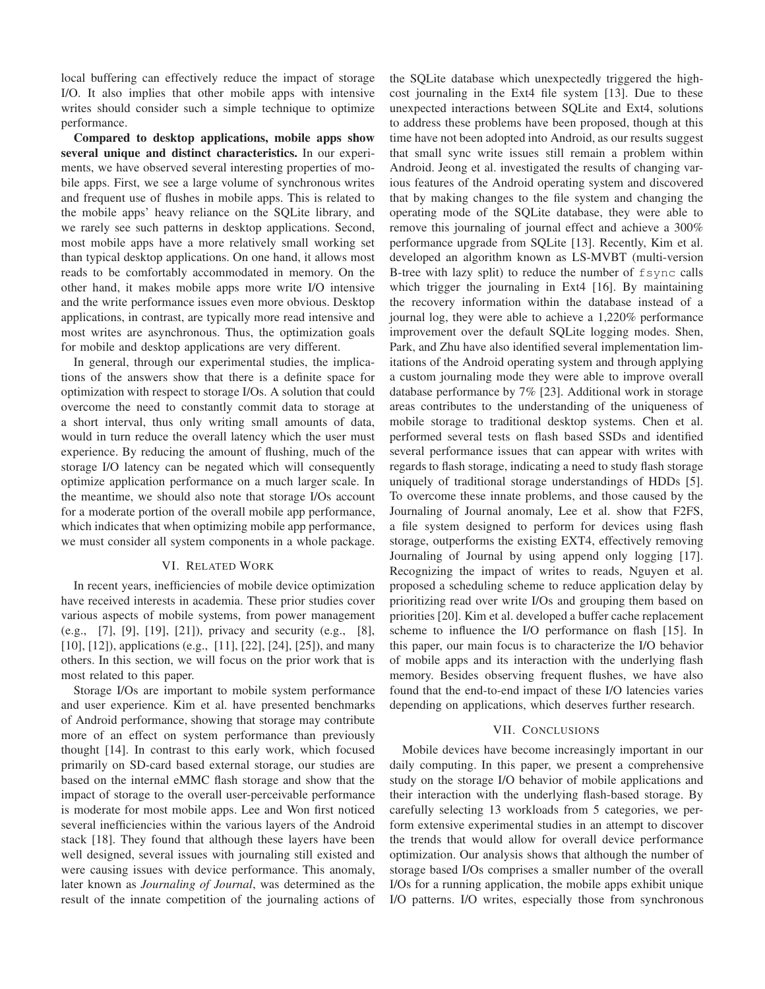local buffering can effectively reduce the impact of storage I/O. It also implies that other mobile apps with intensive writes should consider such a simple technique to optimize performance.

**Compared to desktop applications, mobile apps show several unique and distinct characteristics.** In our experiments, we have observed several interesting properties of mobile apps. First, we see a large volume of synchronous writes and frequent use of flushes in mobile apps. This is related to the mobile apps' heavy reliance on the SQLite library, and we rarely see such patterns in desktop applications. Second, most mobile apps have a more relatively small working set than typical desktop applications. On one hand, it allows most reads to be comfortably accommodated in memory. On the other hand, it makes mobile apps more write I/O intensive and the write performance issues even more obvious. Desktop applications, in contrast, are typically more read intensive and most writes are asynchronous. Thus, the optimization goals for mobile and desktop applications are very different.

In general, through our experimental studies, the implications of the answers show that there is a definite space for optimization with respect to storage I/Os. A solution that could overcome the need to constantly commit data to storage at a short interval, thus only writing small amounts of data, would in turn reduce the overall latency which the user must experience. By reducing the amount of flushing, much of the storage I/O latency can be negated which will consequently optimize application performance on a much larger scale. In the meantime, we should also note that storage I/Os account for a moderate portion of the overall mobile app performance, which indicates that when optimizing mobile app performance, we must consider all system components in a whole package.

## VI. RELATED WORK

In recent years, inefficiencies of mobile device optimization have received interests in academia. These prior studies cover various aspects of mobile systems, from power management (e.g., [7], [9], [19], [21]), privacy and security (e.g., [8], [10], [12]), applications (e.g., [11], [22], [24], [25]), and many others. In this section, we will focus on the prior work that is most related to this paper.

Storage I/Os are important to mobile system performance and user experience. Kim et al. have presented benchmarks of Android performance, showing that storage may contribute more of an effect on system performance than previously thought [14]. In contrast to this early work, which focused primarily on SD-card based external storage, our studies are based on the internal eMMC flash storage and show that the impact of storage to the overall user-perceivable performance is moderate for most mobile apps. Lee and Won first noticed several inefficiencies within the various layers of the Android stack [18]. They found that although these layers have been well designed, several issues with journaling still existed and were causing issues with device performance. This anomaly, later known as *Journaling of Journal*, was determined as the result of the innate competition of the journaling actions of

the SQLite database which unexpectedly triggered the highcost journaling in the Ext4 file system [13]. Due to these unexpected interactions between SQLite and Ext4, solutions to address these problems have been proposed, though at this time have not been adopted into Android, as our results suggest that small sync write issues still remain a problem within Android. Jeong et al. investigated the results of changing various features of the Android operating system and discovered that by making changes to the file system and changing the operating mode of the SQLite database, they were able to remove this journaling of journal effect and achieve a 300% performance upgrade from SQLite [13]. Recently, Kim et al. developed an algorithm known as LS-MVBT (multi-version B-tree with lazy split) to reduce the number of fsync calls which trigger the journaling in Ext4 [16]. By maintaining the recovery information within the database instead of a journal log, they were able to achieve a 1,220% performance improvement over the default SQLite logging modes. Shen, Park, and Zhu have also identified several implementation limitations of the Android operating system and through applying a custom journaling mode they were able to improve overall database performance by 7% [23]. Additional work in storage areas contributes to the understanding of the uniqueness of mobile storage to traditional desktop systems. Chen et al. performed several tests on flash based SSDs and identified several performance issues that can appear with writes with regards to flash storage, indicating a need to study flash storage uniquely of traditional storage understandings of HDDs [5]. To overcome these innate problems, and those caused by the Journaling of Journal anomaly, Lee et al. show that F2FS, a file system designed to perform for devices using flash storage, outperforms the existing EXT4, effectively removing Journaling of Journal by using append only logging [17]. Recognizing the impact of writes to reads, Nguyen et al. proposed a scheduling scheme to reduce application delay by prioritizing read over write I/Os and grouping them based on priorities [20]. Kim et al. developed a buffer cache replacement scheme to influence the I/O performance on flash [15]. In this paper, our main focus is to characterize the I/O behavior of mobile apps and its interaction with the underlying flash memory. Besides observing frequent flushes, we have also found that the end-to-end impact of these I/O latencies varies depending on applications, which deserves further research.

#### VII. CONCLUSIONS

Mobile devices have become increasingly important in our daily computing. In this paper, we present a comprehensive study on the storage I/O behavior of mobile applications and their interaction with the underlying flash-based storage. By carefully selecting 13 workloads from 5 categories, we perform extensive experimental studies in an attempt to discover the trends that would allow for overall device performance optimization. Our analysis shows that although the number of storage based I/Os comprises a smaller number of the overall I/Os for a running application, the mobile apps exhibit unique I/O patterns. I/O writes, especially those from synchronous